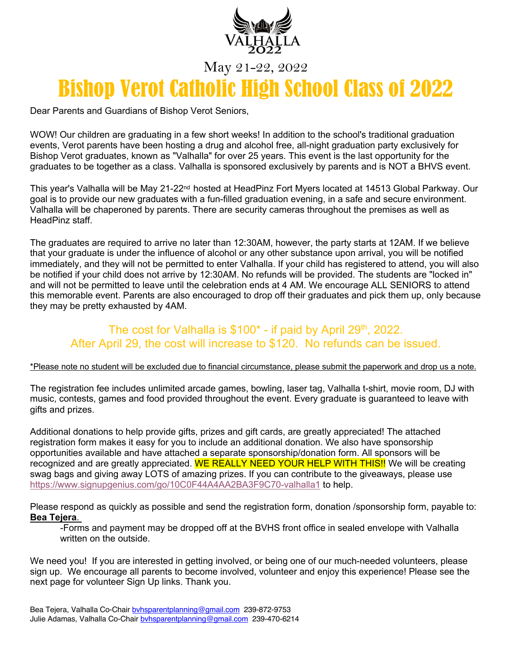

### May 21-22, 2022

# Bishop Verot Catholic High School Class of 2022

Dear Parents and Guardians of Bishop Verot Seniors,

WOW! Our children are graduating in a few short weeks! In addition to the school's traditional graduation events, Verot parents have been hosting a drug and alcohol free, all-night graduation party exclusively for Bishop Verot graduates, known as "Valhalla" for over 25 years. This event is the last opportunity for the graduates to be together as a class. Valhalla is sponsored exclusively by parents and is NOT a BHVS event.

This year's Valhalla will be May 21-22<sup>nd</sup> hosted at HeadPinz Fort Myers located at 14513 Global Parkway. Our goal is to provide our new graduates with a fun-filled graduation evening, in a safe and secure environment. Valhalla will be chaperoned by parents. There are security cameras throughout the premises as well as HeadPinz staff.

The graduates are required to arrive no later than 12:30AM, however, the party starts at 12AM. If we believe that your graduate is under the influence of alcohol or any other substance upon arrival, you will be notified immediately, and they will not be permitted to enter Valhalla. If your child has registered to attend, you will also be notified if your child does not arrive by 12:30AM. No refunds will be provided. The students are "locked in" and will not be permitted to leave until the celebration ends at 4 AM. We encourage ALL SENIORS to attend this memorable event. Parents are also encouraged to drop off their graduates and pick them up, only because they may be pretty exhausted by 4AM.

### The cost for Valhalla is  $$100^*$  - if paid by April 29<sup>th</sup>, 2022. After April 29, the cost will increase to \$120. No refunds can be issued.

#### \*Please note no student will be excluded due to financial circumstance, please submit the paperwork and drop us a note.

The registration fee includes unlimited arcade games, bowling, laser tag, Valhalla t-shirt, movie room, DJ with music, contests, games and food provided throughout the event. Every graduate is guaranteed to leave with gifts and prizes.

Additional donations to help provide gifts, prizes and gift cards, are greatly appreciated! The attached registration form makes it easy for you to include an additional donation. We also have sponsorship opportunities available and have attached a separate sponsorship/donation form. All sponsors will be recognized and are greatly appreciated. WE REALLY NEED YOUR HELP WITH THIS!! We will be creating swag bags and giving away LOTS of amazing prizes. If you can contribute to the giveaways, please use https://www.signupgenius.com/go/10C0F44A4AA2BA3F9C70-valhalla1 to help.

Please respond as quickly as possible and send the registration form, donation /sponsorship form, payable to: **Bea Tejera**.

-Forms and payment may be dropped off at the BVHS front office in sealed envelope with Valhalla written on the outside.

We need you! If you are interested in getting involved, or being one of our much-needed volunteers, please sign up. We encourage all parents to become involved, volunteer and enjoy this experience! Please see the next page for volunteer Sign Up links. Thank you.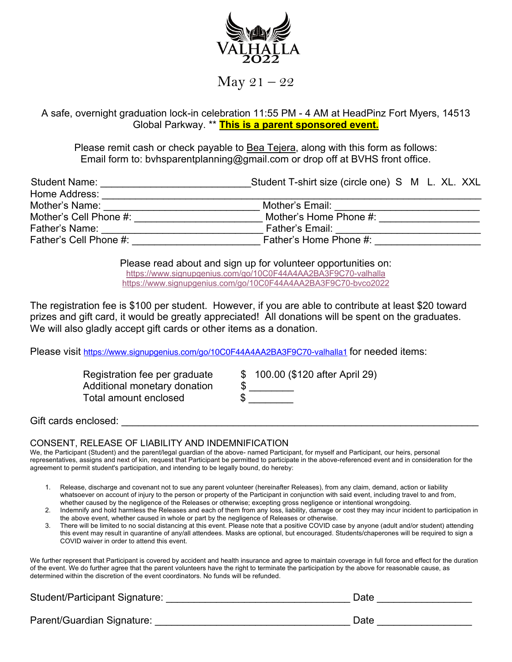

 $May 21 - 22$ 

A safe, overnight graduation lock-in celebration 11:55 PM - 4 AM at HeadPinz Fort Myers, 14513 Global Parkway. \*\* **This is a parent sponsored event.**

Please remit cash or check payable to Bea Tejera, along with this form as follows: Email form to: bvhsparentplanning@gmail.com or drop off at BVHS front office.

| <b>Student Name:</b>   | Student T-shirt size (circle one) S M L. XL. XXL |
|------------------------|--------------------------------------------------|
| Home Address:          |                                                  |
| Mother's Name:         | Mother's Email:                                  |
| Mother's Cell Phone #: | Mother's Home Phone #:                           |
| Father's Name:         | Father's Email:                                  |
| Father's Cell Phone #: | Father's Home Phone #:                           |
|                        |                                                  |

Please read about and sign up for volunteer opportunities on: https://www.signupgenius.com/go/10C0F44A4AA2BA3F9C70-valhalla https://www.signupgenius.com/go/10C0F44A4AA2BA3F9C70-bvco2022

The registration fee is \$100 per student. However, if you are able to contribute at least \$20 toward prizes and gift card, it would be greatly appreciated! All donations will be spent on the graduates. We will also gladly accept gift cards or other items as a donation.

Please visit https://www.signupgenius.com/go/10C0F44A4AA2BA3F9C70-valhalla1 for needed items:

Additional monetary donation Total amount enclosed

Registration fee per graduate \$ 100.00 (\$120 after April 29)

Gift cards enclosed:  $\Box$ 

#### CONSENT, RELEASE OF LIABILITY AND INDEMNIFICATION

We, the Participant (Student) and the parent/legal guardian of the above- named Participant, for myself and Participant, our heirs, personal representatives, assigns and next of kin, request that Participant be permitted to participate in the above-referenced event and in consideration for the agreement to permit student's participation, and intending to be legally bound, do hereby:

- 1. Release, discharge and covenant not to sue any parent volunteer (hereinafter Releases), from any claim, demand, action or liability whatsoever on account of injury to the person or property of the Participant in conjunction with said event, including travel to and from, whether caused by the negligence of the Releases or otherwise; excepting gross negligence or intentional wrongdoing.
- 2. Indemnify and hold harmless the Releases and each of them from any loss, liability, damage or cost they may incur incident to participation in the above event, whether caused in whole or part by the negligence of Releases or otherwise.
- 3. There will be limited to no social distancing at this event. Please note that a positive COVID case by anyone (adult and/or student) attending this event may result in quarantine of any/all attendees. Masks are optional, but encouraged. Students/chaperones will be required to sign a COVID waiver in order to attend this event.

We further represent that Participant is covered by accident and health insurance and agree to maintain coverage in full force and effect for the duration of the event. We do further agree that the parent volunteers have the right to terminate the participation by the above for reasonable cause, as determined within the discretion of the event coordinators. No funds will be refunded.

Student/Participant Signature: \_\_\_\_\_\_\_\_\_\_\_\_\_\_\_\_\_\_\_\_\_\_\_\_\_\_\_\_\_\_\_\_\_ Date \_\_\_\_\_\_\_\_\_\_\_\_\_\_\_\_\_

Parent/Guardian Signature: etc. and the state and the state and the Date Date and the Date and the State and the State and the State and the State and the State and the State and the State and the State and the State and t